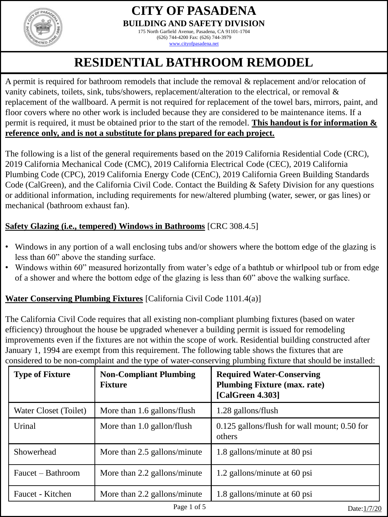

175 North Garfield Avenue, Pasadena, CA 91101-1704 (626) 744-4200 Fax: (626) 744-3979

[www.cityofpasadena.net](http://www.cityofpasadena.net/)

# **RESIDENTIAL BATHROOM REMODEL**

A permit is required for bathroom remodels that include the removal & replacement and/or relocation of vanity cabinets, toilets, sink, tubs/showers, replacement/alteration to the electrical, or removal & replacement of the wallboard. A permit is not required for replacement of the towel bars, mirrors, paint, and floor covers where no other work is included because they are considered to be maintenance items. If a permit is required, it must be obtained prior to the start of the remodel. **This handout is for information & reference only, and is not a substitute for plans prepared for each project.**

The following is a list of the general requirements based on the 2019 California Residential Code (CRC), 2019 California Mechanical Code (CMC), 2019 California Electrical Code (CEC), 2019 California Plumbing Code (CPC), 2019 California Energy Code (CEnC), 2019 California Green Building Standards Code (CalGreen), and the California Civil Code. Contact the Building & Safety Division for any questions or additional information, including requirements for new/altered plumbing (water, sewer, or gas lines) or mechanical (bathroom exhaust fan).

# **Safety Glazing (i.e., tempered) Windows in Bathrooms** [CRC 308.4.5]

- Windows in any portion of a wall enclosing tubs and/or showers where the bottom edge of the glazing is less than 60" above the standing surface.
- Windows within 60" measured horizontally from water's edge of a bathtub or whirlpool tub or from edge of a shower and where the bottom edge of the glazing is less than 60" above the walking surface.

# **Water Conserving Plumbing Fixtures** [California Civil Code 1101.4(a)]

The California Civil Code requires that all existing non-compliant plumbing fixtures (based on water efficiency) throughout the house be upgraded whenever a building permit is issued for remodeling improvements even if the fixtures are not within the scope of work. Residential building constructed after January 1, 1994 are exempt from this requirement. The following table shows the fixtures that are considered to be non-complaint and the type of water-conserving plumbing fixture that should be installed:

| <b>Type of Fixture</b> | <b>Non-Compliant Plumbing</b><br><b>Fixture</b> | <b>Required Water-Conserving</b><br><b>Plumbing Fixture (max. rate)</b><br>[CalGreen 4.303] |
|------------------------|-------------------------------------------------|---------------------------------------------------------------------------------------------|
| Water Closet (Toilet)  | More than 1.6 gallons/flush                     | 1.28 gallons/flush                                                                          |
| Urinal                 | More than 1.0 gallon/flush                      | $0.125$ gallons/flush for wall mount; 0.50 for<br>others                                    |
| Showerhead             | More than 2.5 gallons/minute                    | 1.8 gallons/minute at 80 psi                                                                |
| Faucet – Bathroom      | More than 2.2 gallons/minute                    | 1.2 gallons/minute at 60 psi                                                                |
| Faucet - Kitchen       | More than 2.2 gallons/minute                    | 1.8 gallons/minute at 60 psi                                                                |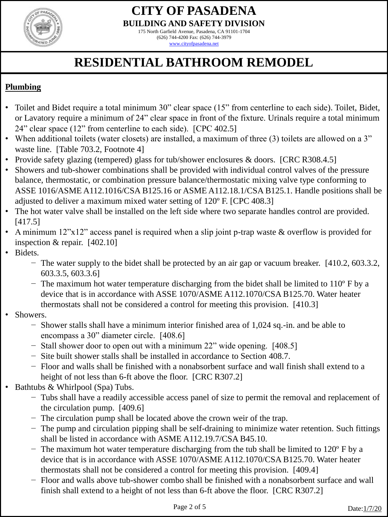

175 North Garfield Avenue, Pasadena, CA 91101-1704 (626) 744-4200 Fax: (626) 744-3979 [www.cityofpasadena.net](http://www.cityofpasadena.net/)

# **RESIDENTIAL BATHROOM REMODEL**

# **Plumbing**

- Toilet and Bidet require a total minimum 30" clear space (15" from centerline to each side). Toilet, Bidet, or Lavatory require a minimum of 24" clear space in front of the fixture. Urinals require a total minimum 24" clear space (12" from centerline to each side). [CPC 402.5]
- When additional toilets (water closets) are installed, a maximum of three (3) toilets are allowed on a 3" waste line. [Table 703.2, Footnote 4]
- Provide safety glazing (tempered) glass for tub/shower enclosures & doors. [CRC R308.4.5]
- Showers and tub-shower combinations shall be provided with individual control valves of the pressure balance, thermostatic, or combination pressure balance/thermostatic mixing valve type conforming to ASSE 1016/ASME A112.1016/CSA B125.16 or ASME A112.18.1/CSA B125.1. Handle positions shall be adjusted to deliver a maximum mixed water setting of 120º F. [CPC 408.3]
- The hot water valve shall be installed on the left side where two separate handles control are provided. [417.5]
- A minimum 12"x12" access panel is required when a slip joint p-trap waste & overflow is provided for inspection & repair. [402.10]
- Bidets.
	- − The water supply to the bidet shall be protected by an air gap or vacuum breaker. [410.2, 603.3.2, 603.3.5, 603.3.6]
	- − The maximum hot water temperature discharging from the bidet shall be limited to 110º F by a device that is in accordance with ASSE 1070/ASME A112.1070/CSA B125.70. Water heater thermostats shall not be considered a control for meeting this provision. [410.3]
- Showers.
	- − Shower stalls shall have a minimum interior finished area of 1,024 sq.-in. and be able to encompass a 30" diameter circle. [408.6]
	- − Stall shower door to open out with a minimum 22" wide opening. [408.5]
	- − Site built shower stalls shall be installed in accordance to Section 408.7.
	- − Floor and walls shall be finished with a nonabsorbent surface and wall finish shall extend to a height of not less than 6-ft above the floor. [CRC R307.2]
- Bathtubs & Whirlpool (Spa) Tubs.
	- − Tubs shall have a readily accessible access panel of size to permit the removal and replacement of the circulation pump. [409.6]
	- − The circulation pump shall be located above the crown weir of the trap.
	- − The pump and circulation pipping shall be self-draining to minimize water retention. Such fittings shall be listed in accordance with ASME A112.19.7/CSA B45.10.
	- − The maximum hot water temperature discharging from the tub shall be limited to 120º F by a device that is in accordance with ASSE 1070/ASME A112.1070/CSA B125.70. Water heater thermostats shall not be considered a control for meeting this provision. [409.4]
	- Floor and walls above tub-shower combo shall be finished with a nonabsorbent surface and wall finish shall extend to a height of not less than 6-ft above the floor. [CRC R307.2]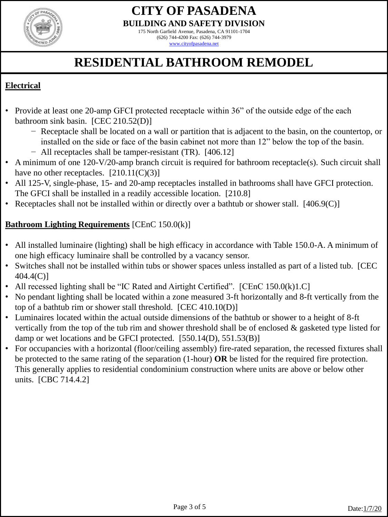

175 North Garfield Avenue, Pasadena, CA 91101-1704 (626) 744-4200 Fax: (626) 744-3979 [www.cityofpasadena.net](http://www.cityofpasadena.net/)

# **RESIDENTIAL BATHROOM REMODEL**

#### **Electrical**

- Provide at least one 20-amp GFCI protected receptacle within 36" of the outside edge of the each bathroom sink basin. [CEC 210.52(D)]
	- − Receptacle shall be located on a wall or partition that is adjacent to the basin, on the countertop, or installed on the side or face of the basin cabinet not more than 12" below the top of the basin. − All receptacles shall be tamper-resistant (TR). [406.12]
- A minimum of one 120-V/20-amp branch circuit is required for bathroom receptacle(s). Such circuit shall have no other receptacles.  $[210.11(C)(3)]$
- All 125-V, single-phase, 15- and 20-amp receptacles installed in bathrooms shall have GFCI protection. The GFCI shall be installed in a readily accessible location. [210.8]
- Receptacles shall not be installed within or directly over a bathtub or shower stall. [406.9(C)]

#### **Bathroom Lighting Requirements** [CEnC 150.0(k)]

- All installed luminaire (lighting) shall be high efficacy in accordance with Table 150.0-A. A minimum of one high efficacy luminaire shall be controlled by a vacancy sensor.
- Switches shall not be installed within tubs or shower spaces unless installed as part of a listed tub. [CEC 404.4(C)]
- All recessed lighting shall be "IC Rated and Airtight Certified". [CEnC 150.0(k)1.C]
- No pendant lighting shall be located within a zone measured 3-ft horizontally and 8-ft vertically from the top of a bathtub rim or shower stall threshold. [CEC 410.10(D)]
- Luminaires located within the actual outside dimensions of the bathtub or shower to a height of 8-ft vertically from the top of the tub rim and shower threshold shall be of enclosed & gasketed type listed for damp or wet locations and be GFCI protected. [550.14(D), 551.53(B)]
- For occupancies with a horizontal (floor/ceiling assembly) fire-rated separation, the recessed fixtures shall be protected to the same rating of the separation (1-hour) **OR** be listed for the required fire protection. This generally applies to residential condominium construction where units are above or below other units. [CBC 714.4.2]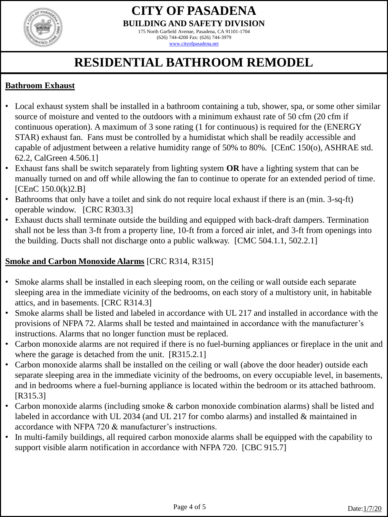

175 North Garfield Avenue, Pasadena, CA 91101-1704 (626) 744-4200 Fax: (626) 744-3979 [www.cityofpasadena.net](http://www.cityofpasadena.net/)

# **RESIDENTIAL BATHROOM REMODEL**

#### **Bathroom Exhaust**

- Local exhaust system shall be installed in a bathroom containing a tub, shower, spa, or some other similar source of moisture and vented to the outdoors with a minimum exhaust rate of 50 cfm (20 cfm if continuous operation). A maximum of 3 sone rating (1 for continuous) is required for the (ENERGY STAR) exhaust fan. Fans must be controlled by a humidistat which shall be readily accessible and capable of adjustment between a relative humidity range of 50% to 80%. [CEnC 150(o), ASHRAE std. 62.2, CalGreen 4.506.1]
- Exhaust fans shall be switch separately from lighting system **OR** have a lighting system that can be manually turned on and off while allowing the fan to continue to operate for an extended period of time. [CEnC 150.0(k)2.B]
- Bathrooms that only have a toilet and sink do not require local exhaust if there is an (min. 3-sq-ft) operable window. [CRC R303.3]
- Exhaust ducts shall terminate outside the building and equipped with back-draft dampers. Termination shall not be less than 3-ft from a property line, 10-ft from a forced air inlet, and 3-ft from openings into the building. Ducts shall not discharge onto a public walkway. [CMC 504.1.1, 502.2.1]

# **Smoke and Carbon Monoxide Alarms** [CRC R314, R315]

- Smoke alarms shall be installed in each sleeping room, on the ceiling or wall outside each separate sleeping area in the immediate vicinity of the bedrooms, on each story of a multistory unit, in habitable attics, and in basements. [CRC R314.3]
- Smoke alarms shall be listed and labeled in accordance with UL 217 and installed in accordance with the provisions of NFPA 72. Alarms shall be tested and maintained in accordance with the manufacturer's instructions. Alarms that no longer function must be replaced.
- Carbon monoxide alarms are not required if there is no fuel-burning appliances or fireplace in the unit and where the garage is detached from the unit. [R315.2.1]
- Carbon monoxide alarms shall be installed on the ceiling or wall (above the door header) outside each separate sleeping area in the immediate vicinity of the bedrooms, on every occupiable level, in basements, and in bedrooms where a fuel-burning appliance is located within the bedroom or its attached bathroom. [R315.3]
- Carbon monoxide alarms (including smoke & carbon monoxide combination alarms) shall be listed and labeled in accordance with UL 2034 (and UL 217 for combo alarms) and installed & maintained in accordance with NFPA 720 & manufacturer's instructions.
- In multi-family buildings, all required carbon monoxide alarms shall be equipped with the capability to support visible alarm notification in accordance with NFPA 720. [CBC 915.7]